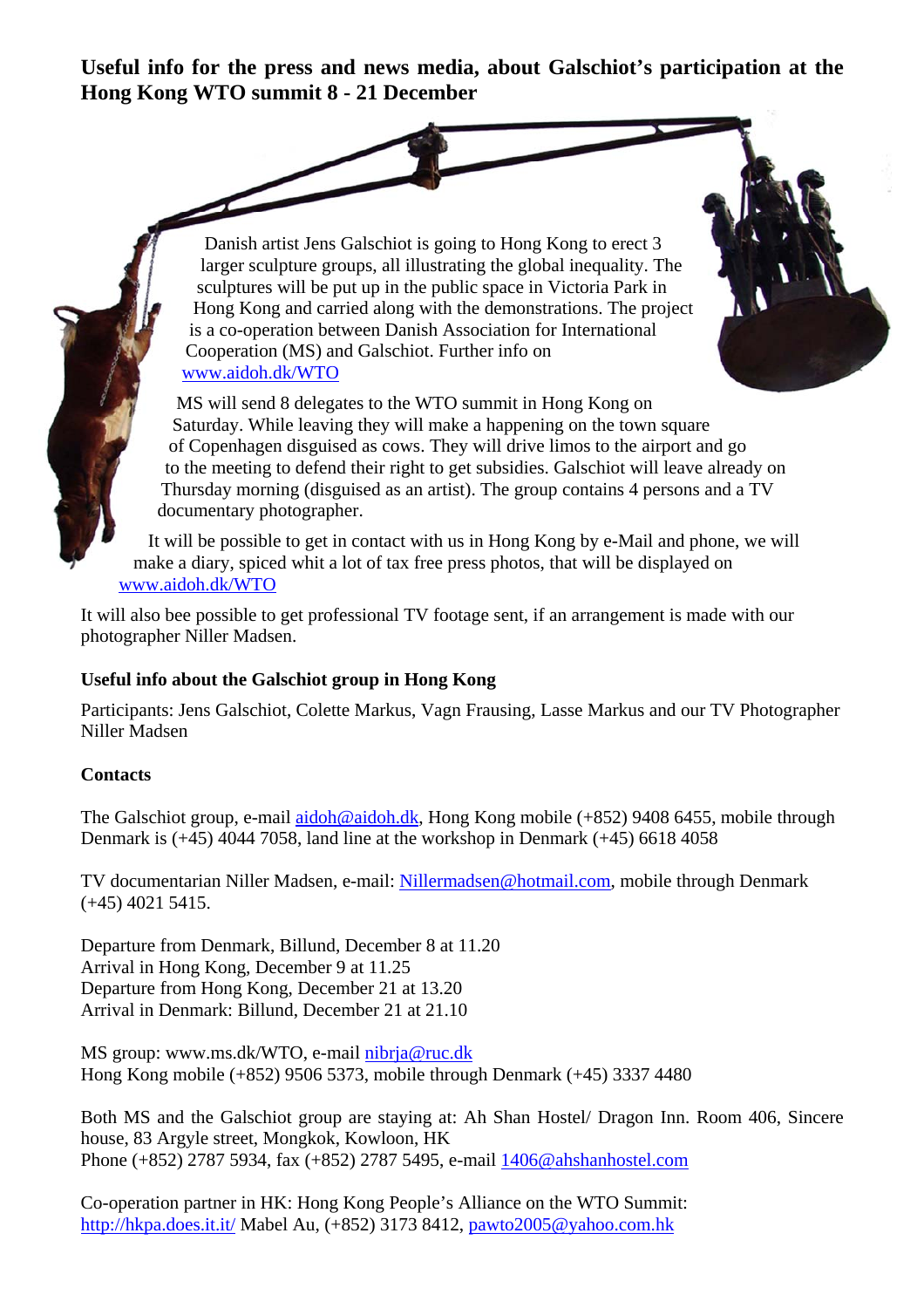**Useful info for the press and news media, about Galschiot's participation at the Hong Kong WTO summit 8 - 21 December** 

> Danish artist Jens Galschiot is going to Hong Kong to erect 3 larger sculpture groups, all illustrating the global inequality. The sculptures will be put up in the public space in Victoria Park in Hong Kong and carried along with the demonstrations. The project is a co-operation between Danish Association for International Cooperation (MS) and Galschiot. Further info on www.aidoh.dk/WTO

MS will send 8 delegates to the WTO summit in Hong Kong on Saturday. While leaving they will make a happening on the town square of Copenhagen disguised as cows. They will drive limos to the airport and go to the meeting to defend their right to get subsidies. Galschiot will leave already on Thursday morning (disguised as an artist). The group contains 4 persons and a TV documentary photographer.

It will be possible to get in contact with us in Hong Kong by e-Mail and phone, we will make a diary, spiced whit a lot of tax free press photos, that will be displayed on www.aidoh.dk/WTO

It will also bee possible to get professional TV footage sent, if an arrangement is made with our photographer Niller Madsen.

## **Useful info about the Galschiot group in Hong Kong**

Participants: Jens Galschiot, Colette Markus, Vagn Frausing, Lasse Markus and our TV Photographer Niller Madsen

## **Contacts**

The Galschiot group, e-mail aidoh@aidoh.dk, Hong Kong mobile (+852) 9408 6455, mobile through Denmark is (+45) 4044 7058, land line at the workshop in Denmark (+45) 6618 4058

TV documentarian Niller Madsen, e-mail: Nillermadsen@hotmail.com, mobile through Denmark (+45) 4021 5415.

Departure from Denmark, Billund, December 8 at 11.20 Arrival in Hong Kong, December 9 at 11.25 Departure from Hong Kong, December 21 at 13.20 Arrival in Denmark: Billund, December 21 at 21.10

MS group: www.ms.dk/WTO, e-mail nibrja@ruc.dk Hong Kong mobile (+852) 9506 5373, mobile through Denmark (+45) 3337 4480

Both MS and the Galschiot group are staying at: Ah Shan Hostel/ Dragon Inn. Room 406, Sincere house, 83 Argyle street, Mongkok, Kowloon, HK Phone (+852) 2787 5934, fax (+852) 2787 5495, e-mail 1406@ahshanhostel.com

Co-operation partner in HK: Hong Kong People's Alliance on the WTO Summit: http://hkpa.does.it.it/ Mabel Au, (+852) 3173 8412, pawto2005@yahoo.com.hk